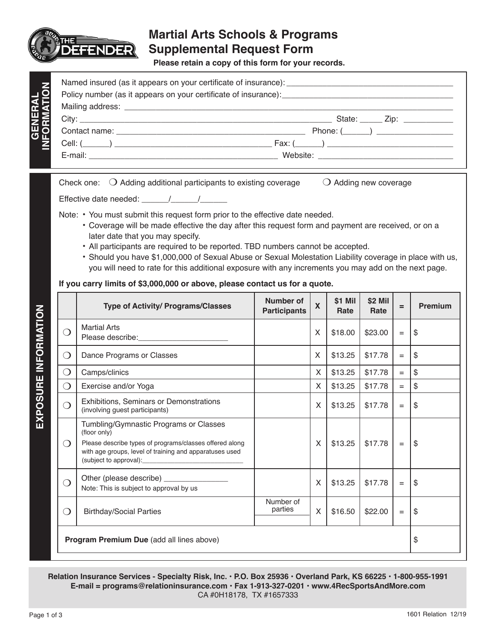

## **Martial Arts Schools & Programs Supplemental Request Form**

**Please retain a copy of this form for your records.**

|                                                                                                               | State: ______ Zip: ____________ |
|---------------------------------------------------------------------------------------------------------------|---------------------------------|
|                                                                                                               | Phone: $(\_\_\_\_)$             |
|                                                                                                               |                                 |
| E-mail: 2008. 2009. 2009. 2010. 2010. 2010. 2010. 2010. 2010. 2010. 2010. 2010. 2010. 2010. 2010. 2010. 2010. |                                 |

Check one:  $\bigcirc$  Adding additional participants to existing coverage  $\bigcirc$  Adding new coverage

Effective date needed: \_\_\_\_\_\_/\_\_\_\_\_\_/\_\_\_\_\_\_

Note: • You must submit this request form prior to the effective date needed.

- Coverage will be made effective the day after this request form and payment are received, or on a later date that you may specify.
- All participants are required to be reported. TBD numbers cannot be accepted.
- Should you have \$1,000,000 of Sexual Abuse or Sexual Molestation Liability coverage in place with us, you will need to rate for this additional exposure with any increments you may add on the next page.

## **If you carry limits of \$3,000,000 or above, please contact us for a quote.**

|                                           | <b>Type of Activity/ Programs/Classes</b>                                                                                                                                    | Number of<br><b>Participants</b> | $\mathbf x$ | \$1 Mil<br>Rate | \$2 Mil<br>Rate | $=$               | <b>Premium</b>            |
|-------------------------------------------|------------------------------------------------------------------------------------------------------------------------------------------------------------------------------|----------------------------------|-------------|-----------------|-----------------|-------------------|---------------------------|
|                                           | <b>Martial Arts</b>                                                                                                                                                          |                                  | X           | \$18.00         | \$23.00         | $=$               | \$                        |
| $\left(\right)$                           | Dance Programs or Classes                                                                                                                                                    |                                  | X           | \$13.25         | \$17.78         | $=$               | \$                        |
| ◯                                         | Camps/clinics                                                                                                                                                                |                                  | X           | \$13.25         | \$17.78         | $=$               | \$                        |
| $\left( \right)$                          | Exercise and/or Yoga                                                                                                                                                         |                                  | X           | \$13.25         | \$17.78         | $=$               | \$                        |
| Ω                                         | Exhibitions, Seminars or Demonstrations<br>(involving guest participants)                                                                                                    |                                  | X           | \$13.25         | \$17.78         | $=$               | \$                        |
| 0                                         | Tumbling/Gymnastic Programs or Classes<br>(floor only)<br>Please describe types of programs/classes offered along<br>with age groups, level of training and apparatuses used |                                  | X           | \$13.25         | \$17.78         | $\qquad \qquad =$ | \$                        |
| ി                                         | Note: This is subject to approval by us                                                                                                                                      |                                  | X           | \$13.25         | \$17.78         | $=$               | $\boldsymbol{\mathsf{S}}$ |
| $\left(\begin{array}{c}\right)$           | <b>Birthday/Social Parties</b>                                                                                                                                               | Number of<br>parties             | X           | \$16.50         | \$22.00         | $=$               | \$                        |
| Program Premium Due (add all lines above) |                                                                                                                                                                              |                                  |             |                 |                 |                   | \$                        |

**Relation Insurance Services - Specialty Risk, Inc. • P.O. Box 25936 • Overland Park, KS 66225 • 1-800-955-1991 E-mail = programs@relationinsurance.com • Fax 1-913-327-0201 • www.4RecSportsAndMore.com** CA #0H18178, TX #1657333

1601 Relation 12/19

**EXPOSURE INFORMATION**

EXPOSURE INFORMATION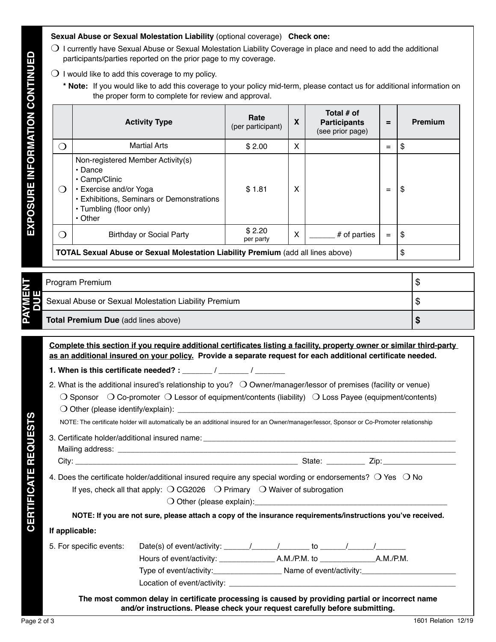## **Sexual Abuse or Sexual Molestation Liability** (optional coverage) **Check one:**

- $\bigcirc$  I currently have Sexual Abuse or Sexual Molestation Liability Coverage in place and need to add the additional participants/parties reported on the prior page to my coverage.
- $\bigcirc$  I would like to add this coverage to my policy.
	- **\* Note:** If you would like to add this coverage to your policy mid-term, please contact us for additional information on the proper form to complete for review and approval.

|                                                                                         | <b>Activity Type</b>                                                                                                                                                                   | Rate<br>(per participant) | X | Total # of<br><b>Participants</b><br>(see prior page) | $=$ | <b>Premium</b> |
|-----------------------------------------------------------------------------------------|----------------------------------------------------------------------------------------------------------------------------------------------------------------------------------------|---------------------------|---|-------------------------------------------------------|-----|----------------|
| ∩                                                                                       | <b>Martial Arts</b>                                                                                                                                                                    | \$2.00                    | X |                                                       | $=$ | \$             |
| $\left( \right)$                                                                        | Non-registered Member Activity(s)<br>$\cdot$ Dance<br>• Camp/Clinic<br>• Exercise and/or Yoga<br>• Exhibitions, Seminars or Demonstrations<br>• Tumbling (floor only)<br>$\cdot$ Other | \$1.81                    | X |                                                       | $=$ | \$             |
| $\left(\right)$                                                                         | <b>Birthday or Social Party</b>                                                                                                                                                        | \$2.20<br>per party       | X | # of parties                                          | $=$ | -\$            |
| <b>TOTAL Sexual Abuse or Sexual Molestation Liability Premium (add all lines above)</b> |                                                                                                                                                                                        |                           |   |                                                       |     | \$             |

|                       | Program Premium                                      |  |
|-----------------------|------------------------------------------------------|--|
| <b>PAYMENT</b><br>DUE | Sexual Abuse or Sexual Molestation Liability Premium |  |
|                       | Total Premium Due (add lines above)                  |  |

**Complete this section if you require additional certificates listing a facility, property owner or similar third-party as an additional insured on your policy. Provide a separate request for each additional certificate needed.** 

- **1. When is this certificate needed? :** \_\_\_\_\_\_\_ / \_\_\_\_\_\_\_ / \_\_\_\_\_\_\_
- 2. What is the additional insured's relationship to you?  $\bigcirc$  Owner/manager/lessor of premises (facility or venue)  $\bigcirc$  Sponsor  $\bigcirc$  Co-promoter  $\bigcirc$  Lessor of equipment/contents (liability)  $\bigcirc$  Loss Payee (equipment/contents)
	- $\bigcirc$  Other (please identify/explain):  $\bigcirc$

NOTE: The certificate holder will automatically be an additional insured for an Owner/manager/lessor, Sponsor or Co-Promoter relationship

3. Certificate holder/additional insured name: \_\_\_\_\_\_\_\_\_\_\_\_\_\_\_\_\_\_\_\_\_\_\_\_\_\_\_\_\_\_\_\_\_ Mailing address: **with a strategies of the strategies of the strategies of the strategies** of the strategies of the strategies of the strategies of the strategies of the strategies of the strategies of the strategies of th

City: \_\_\_\_\_\_\_\_\_\_\_\_\_\_\_\_\_\_\_\_\_\_\_\_\_\_\_\_\_\_\_\_\_\_\_\_\_\_\_\_\_\_\_\_\_\_\_\_\_\_\_\_ State: \_\_\_\_\_\_\_\_\_ Zip:\_\_\_\_\_\_\_\_\_\_\_\_\_\_\_\_\_

**CERTIFICATE REQUESTS**

**CERTIFICATE REQUESTS** 

4. Does the certificate holder/additional insured require any special wording or endorsements?  $\bigcirc$  Yes  $\bigcirc$  No If yes, check all that apply:  $\bigcirc$  CG2026  $\bigcirc$  Primary  $\bigcirc$  Waiver of subrogation

 $\bigcirc$  Other (please explain):

| NOTE: If you are not sure, please attach a copy of the insurance requirements/instructions you've received. |  |  |
|-------------------------------------------------------------------------------------------------------------|--|--|
|                                                                                                             |  |  |

## **If applicable:**

| 5. For specific events: | Date(s) of event/activity: $\sqrt{ }$ |              |                         |           |
|-------------------------|---------------------------------------|--------------|-------------------------|-----------|
|                         | Hours of event/activity:              | A.M./P.M. to |                         | A.M./P.M. |
|                         | Type of event/activity:               |              | Name of event/activity: |           |
|                         | Location of event/activity:           |              |                         |           |

**The most common delay in certificate processing is caused by providing partial or incorrect name and/or instructions. Please check your request carefully before submitting.**